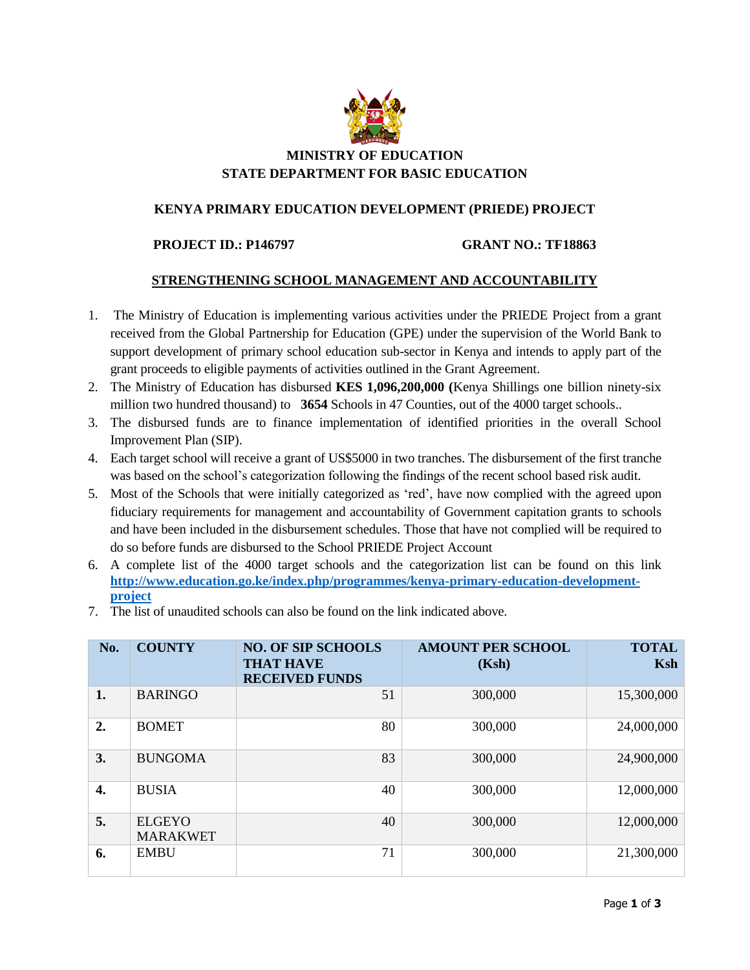

## **MINISTRY OF EDUCATION STATE DEPARTMENT FOR BASIC EDUCATION**

## **KENYA PRIMARY EDUCATION DEVELOPMENT (PRIEDE) PROJECT**

**PROJECT ID.: P146797 GRANT NO.: TF18863**

## **STRENGTHENING SCHOOL MANAGEMENT AND ACCOUNTABILITY**

- 1. The Ministry of Education is implementing various activities under the PRIEDE Project from a grant received from the Global Partnership for Education (GPE) under the supervision of the World Bank to support development of primary school education sub-sector in Kenya and intends to apply part of the grant proceeds to eligible payments of activities outlined in the Grant Agreement.
- 2. The Ministry of Education has disbursed **KES 1,096,200,000 (**Kenya Shillings one billion ninety-six million two hundred thousand) to **3654** Schools in 47 Counties, out of the 4000 target schools..
- 3. The disbursed funds are to finance implementation of identified priorities in the overall School Improvement Plan (SIP).
- 4. Each target school will receive a grant of US\$5000 in two tranches. The disbursement of the first tranche was based on the school's categorization following the findings of the recent school based risk audit.
- 5. Most of the Schools that were initially categorized as 'red', have now complied with the agreed upon fiduciary requirements for management and accountability of Government capitation grants to schools and have been included in the disbursement schedules. Those that have not complied will be required to do so before funds are disbursed to the School PRIEDE Project Account
- 6. A complete list of the 4000 target schools and the categorization list can be found on this link **[http://www.education.go.ke/index.php/programmes/kenya-primary-education-development](http://www.education.go.ke/index.php/programmes/kenya-primary-education-development-project)[project](http://www.education.go.ke/index.php/programmes/kenya-primary-education-development-project)**
- 7. The list of unaudited schools can also be found on the link indicated above.

| No. | <b>COUNTY</b>                    | <b>NO. OF SIP SCHOOLS</b><br><b>THAT HAVE</b><br><b>RECEIVED FUNDS</b> | <b>AMOUNT PER SCHOOL</b><br>(Ksh) | <b>TOTAL</b><br>Ksh |
|-----|----------------------------------|------------------------------------------------------------------------|-----------------------------------|---------------------|
| 1.  | <b>BARINGO</b>                   | 51                                                                     | 300,000                           | 15,300,000          |
| 2.  | <b>BOMET</b>                     | 80                                                                     | 300,000                           | 24,000,000          |
| 3.  | <b>BUNGOMA</b>                   | 83                                                                     | 300,000                           | 24,900,000          |
| 4.  | <b>BUSIA</b>                     | 40                                                                     | 300,000                           | 12,000,000          |
| 5.  | <b>ELGEYO</b><br><b>MARAKWET</b> | 40                                                                     | 300,000                           | 12,000,000          |
| 6.  | <b>EMBU</b>                      | 71                                                                     | 300,000                           | 21,300,000          |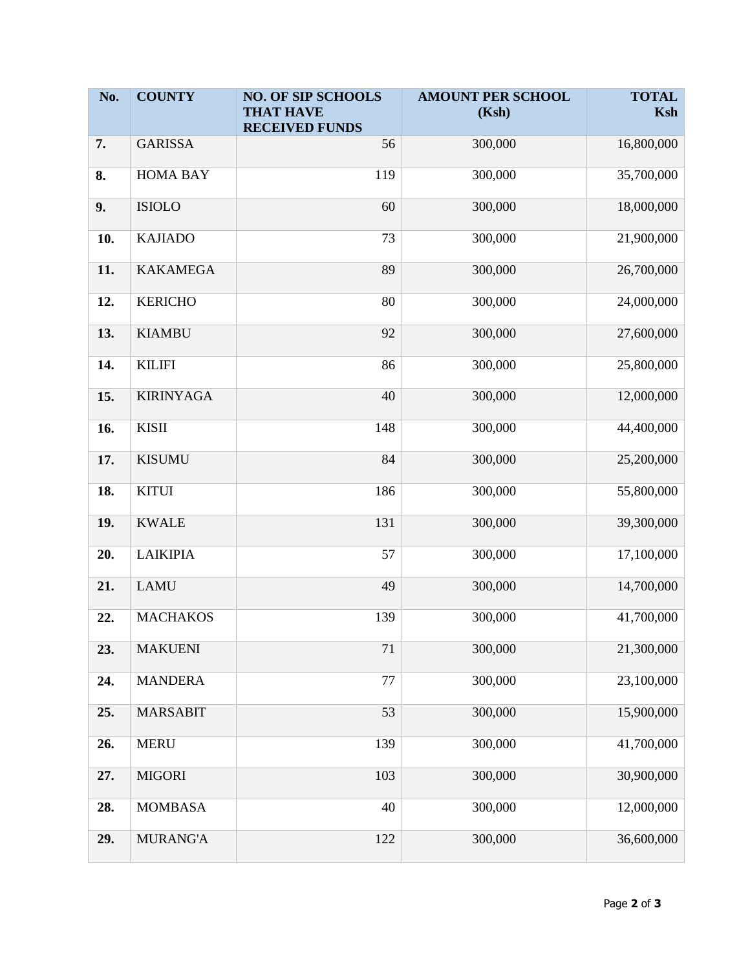| No. | <b>COUNTY</b>    | <b>NO. OF SIP SCHOOLS</b>                 | <b>AMOUNT PER SCHOOL</b> | <b>TOTAL</b> |
|-----|------------------|-------------------------------------------|--------------------------|--------------|
|     |                  | <b>THAT HAVE</b><br><b>RECEIVED FUNDS</b> | (Ksh)                    | Ksh          |
| 7.  | <b>GARISSA</b>   | 56                                        | 300,000                  | 16,800,000   |
| 8.  | <b>HOMA BAY</b>  | 119                                       | 300,000                  | 35,700,000   |
| 9.  | <b>ISIOLO</b>    | 60                                        | 300,000                  | 18,000,000   |
| 10. | <b>KAJIADO</b>   | 73                                        | 300,000                  | 21,900,000   |
| 11. | <b>KAKAMEGA</b>  | 89                                        | 300,000                  | 26,700,000   |
| 12. | <b>KERICHO</b>   | 80                                        | 300,000                  | 24,000,000   |
| 13. | <b>KIAMBU</b>    | 92                                        | 300,000                  | 27,600,000   |
| 14. | <b>KILIFI</b>    | 86                                        | 300,000                  | 25,800,000   |
| 15. | <b>KIRINYAGA</b> | 40                                        | 300,000                  | 12,000,000   |
| 16. | <b>KISII</b>     | 148                                       | 300,000                  | 44,400,000   |
| 17. | <b>KISUMU</b>    | 84                                        | 300,000                  | 25,200,000   |
| 18. | <b>KITUI</b>     | 186                                       | 300,000                  | 55,800,000   |
| 19. | <b>KWALE</b>     | 131                                       | 300,000                  | 39,300,000   |
| 20. | <b>LAIKIPIA</b>  | 57                                        | 300,000                  | 17,100,000   |
| 21. | <b>LAMU</b>      | 49                                        | 300,000                  | 14,700,000   |
| 22. | <b>MACHAKOS</b>  | 139                                       | 300,000                  | 41,700,000   |
| 23. | <b>MAKUENI</b>   | 71                                        | 300,000                  | 21,300,000   |
| 24. | <b>MANDERA</b>   | 77                                        | 300,000                  | 23,100,000   |
| 25. | <b>MARSABIT</b>  | 53                                        | 300,000                  | 15,900,000   |
| 26. | <b>MERU</b>      | 139                                       | 300,000                  | 41,700,000   |
| 27. | <b>MIGORI</b>    | 103                                       | 300,000                  | 30,900,000   |
| 28. | <b>MOMBASA</b>   | 40                                        | 300,000                  | 12,000,000   |
| 29. | <b>MURANG'A</b>  | 122                                       | 300,000                  | 36,600,000   |